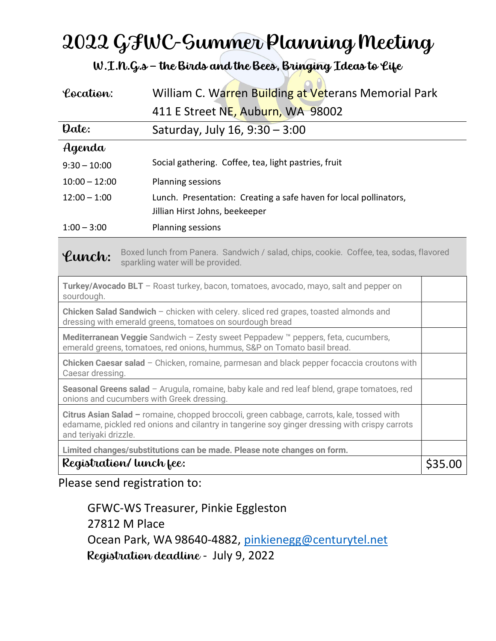# 2022 GFWC-Summer Planning Meeting

W.I.N.G.s – the Birds and the Bees, Bringing Ideas to Life

| Location:                                                                                                                                                                                                           | William C. Warren Building at Veterans Memorial Park                                                |         |
|---------------------------------------------------------------------------------------------------------------------------------------------------------------------------------------------------------------------|-----------------------------------------------------------------------------------------------------|---------|
|                                                                                                                                                                                                                     | 411 E Street NE, Auburn, WA 98002                                                                   |         |
| Date:                                                                                                                                                                                                               | Saturday, July 16, 9:30 - 3:00                                                                      |         |
| Agenda                                                                                                                                                                                                              |                                                                                                     |         |
| $9:30 - 10:00$                                                                                                                                                                                                      | Social gathering. Coffee, tea, light pastries, fruit                                                |         |
| $10:00 - 12:00$                                                                                                                                                                                                     | <b>Planning sessions</b>                                                                            |         |
| $12:00 - 1:00$                                                                                                                                                                                                      | Lunch. Presentation: Creating a safe haven for local pollinators,<br>Jillian Hirst Johns, beekeeper |         |
| $1:00 - 3:00$                                                                                                                                                                                                       | Planning sessions                                                                                   |         |
| Boxed lunch from Panera. Sandwich / salad, chips, cookie. Coffee, tea, sodas, flavored<br>Lunch:<br>sparkling water will be provided.                                                                               |                                                                                                     |         |
| Turkey/Avocado BLT - Roast turkey, bacon, tomatoes, avocado, mayo, salt and pepper on<br>sourdough.                                                                                                                 |                                                                                                     |         |
| Chicken Salad Sandwich - chicken with celery. sliced red grapes, toasted almonds and<br>dressing with emerald greens, tomatoes on sourdough bread                                                                   |                                                                                                     |         |
| Mediterranean Veggie Sandwich - Zesty sweet Peppadew ™ peppers, feta, cucumbers,<br>emerald greens, tomatoes, red onions, hummus, S&P on Tomato basil bread.                                                        |                                                                                                     |         |
| Chicken Caesar salad - Chicken, romaine, parmesan and black pepper focaccia croutons with<br>Caesar dressing.                                                                                                       |                                                                                                     |         |
| Seasonal Greens salad - Arugula, romaine, baby kale and red leaf blend, grape tomatoes, red<br>onions and cucumbers with Greek dressing.                                                                            |                                                                                                     |         |
| Citrus Asian Salad - romaine, chopped broccoli, green cabbage, carrots, kale, tossed with<br>edamame, pickled red onions and cilantry in tangerine soy ginger dressing with crispy carrots<br>and teriyaki drizzle. |                                                                                                     |         |
| Limited changes/substitutions can be made. Please note changes on form.                                                                                                                                             |                                                                                                     |         |
| Registration/ lunch fee:                                                                                                                                                                                            |                                                                                                     | \$35.00 |

Please send registration to:

GFWC-WS Treasurer, Pinkie Eggleston 27812 M Place Ocean Park, WA 98640-4882, pinkienegg@centurytel.net Registration deadline - July 9, 2022